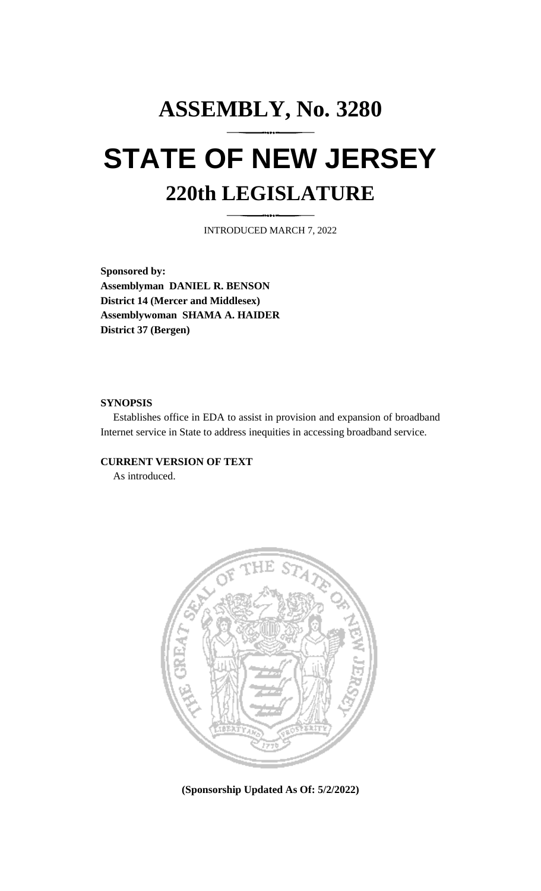# **ASSEMBLY, No. 3280 STATE OF NEW JERSEY 220th LEGISLATURE**

INTRODUCED MARCH 7, 2022

**Sponsored by: Assemblyman DANIEL R. BENSON District 14 (Mercer and Middlesex) Assemblywoman SHAMA A. HAIDER District 37 (Bergen)**

## **SYNOPSIS**

Establishes office in EDA to assist in provision and expansion of broadband Internet service in State to address inequities in accessing broadband service.

# **CURRENT VERSION OF TEXT**

As introduced.



**(Sponsorship Updated As Of: 5/2/2022)**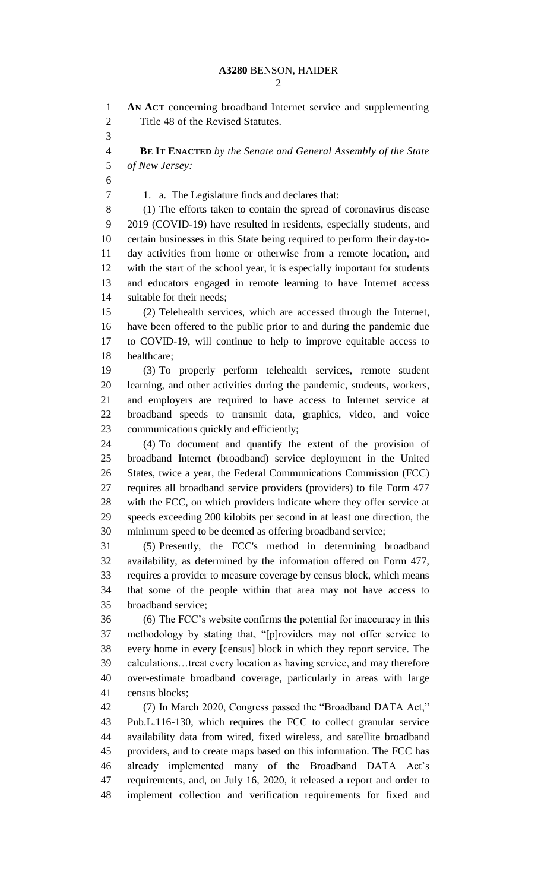**AN ACT** concerning broadband Internet service and supplementing Title 48 of the Revised Statutes. **BE IT ENACTED** *by the Senate and General Assembly of the State of New Jersey:* 1. a. The Legislature finds and declares that: (1) The efforts taken to contain the spread of coronavirus disease 2019 (COVID-19) have resulted in residents, especially students, and certain businesses in this State being required to perform their day-to- day activities from home or otherwise from a remote location, and with the start of the school year, it is especially important for students and educators engaged in remote learning to have Internet access suitable for their needs; (2) Telehealth services, which are accessed through the Internet, have been offered to the public prior to and during the pandemic due to COVID-19, will continue to help to improve equitable access to healthcare; (3) To properly perform telehealth services, remote student learning, and other activities during the pandemic, students, workers, and employers are required to have access to Internet service at broadband speeds to transmit data, graphics, video, and voice communications quickly and efficiently; (4) To document and quantify the extent of the provision of broadband Internet (broadband) service deployment in the United States, twice a year, the Federal Communications Commission (FCC) requires all broadband service providers (providers) to file Form 477 with the FCC, on which providers indicate where they offer service at speeds exceeding 200 kilobits per second in at least one direction, the minimum speed to be deemed as offering broadband service; (5) Presently, the FCC's method in determining broadband availability, as determined by the information offered on Form 477, requires a provider to measure coverage by census block, which means that some of the people within that area may not have access to broadband service; (6) The FCC's website confirms the potential for inaccuracy in this methodology by stating that, "[p]roviders may not offer service to every home in every [census] block in which they report service. The calculations…treat every location as having service, and may therefore over-estimate broadband coverage, particularly in areas with large census blocks; (7) In March 2020, Congress passed the "Broadband DATA Act," Pub.L.116-130, which requires the FCC to collect granular service availability data from wired, fixed wireless, and satellite broadband providers, and to create maps based on this information. The FCC has already implemented many of the Broadband DATA Act's requirements, and, on July 16, 2020, it released a report and order to implement collection and verification requirements for fixed and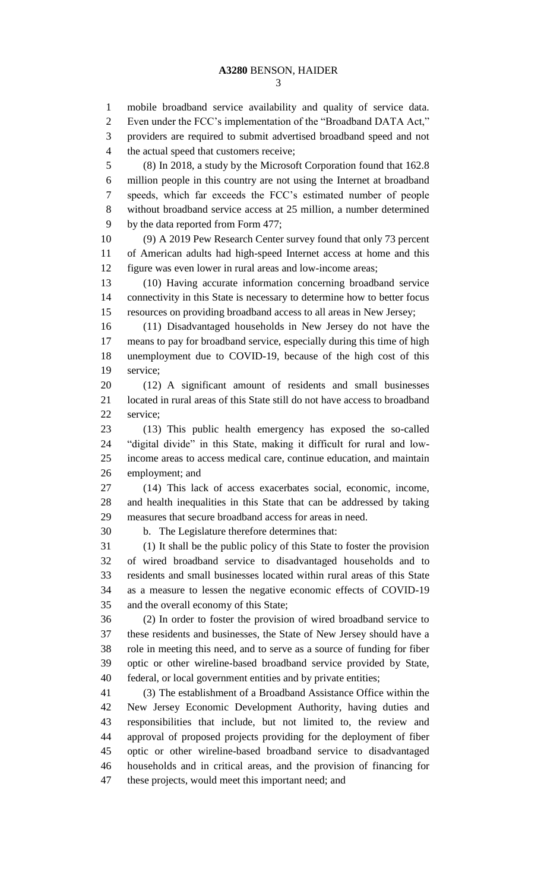mobile broadband service availability and quality of service data. Even under the FCC's implementation of the "Broadband DATA Act," providers are required to submit advertised broadband speed and not the actual speed that customers receive; (8) In 2018, a study by the Microsoft Corporation found that 162.8 million people in this country are not using the Internet at broadband

 speeds, which far exceeds the FCC's estimated number of people without broadband service access at 25 million, a number determined by the data reported from Form 477;

 (9) A 2019 Pew Research Center survey found that only 73 percent of American adults had high-speed Internet access at home and this figure was even lower in rural areas and low-income areas;

 (10) Having accurate information concerning broadband service connectivity in this State is necessary to determine how to better focus resources on providing broadband access to all areas in New Jersey;

 (11) Disadvantaged households in New Jersey do not have the means to pay for broadband service, especially during this time of high unemployment due to COVID-19, because of the high cost of this service;

 (12) A significant amount of residents and small businesses located in rural areas of this State still do not have access to broadband service;

 (13) This public health emergency has exposed the so-called "digital divide" in this State, making it difficult for rural and low- income areas to access medical care, continue education, and maintain employment; and

 (14) This lack of access exacerbates social, economic, income, and health inequalities in this State that can be addressed by taking measures that secure broadband access for areas in need.

b. The Legislature therefore determines that:

 (1) It shall be the public policy of this State to foster the provision of wired broadband service to disadvantaged households and to residents and small businesses located within rural areas of this State as a measure to lessen the negative economic effects of COVID-19 and the overall economy of this State;

 (2) In order to foster the provision of wired broadband service to these residents and businesses, the State of New Jersey should have a role in meeting this need, and to serve as a source of funding for fiber optic or other wireline-based broadband service provided by State, federal, or local government entities and by private entities;

 (3) The establishment of a Broadband Assistance Office within the New Jersey Economic Development Authority, having duties and responsibilities that include, but not limited to, the review and approval of proposed projects providing for the deployment of fiber optic or other wireline-based broadband service to disadvantaged households and in critical areas, and the provision of financing for these projects, would meet this important need; and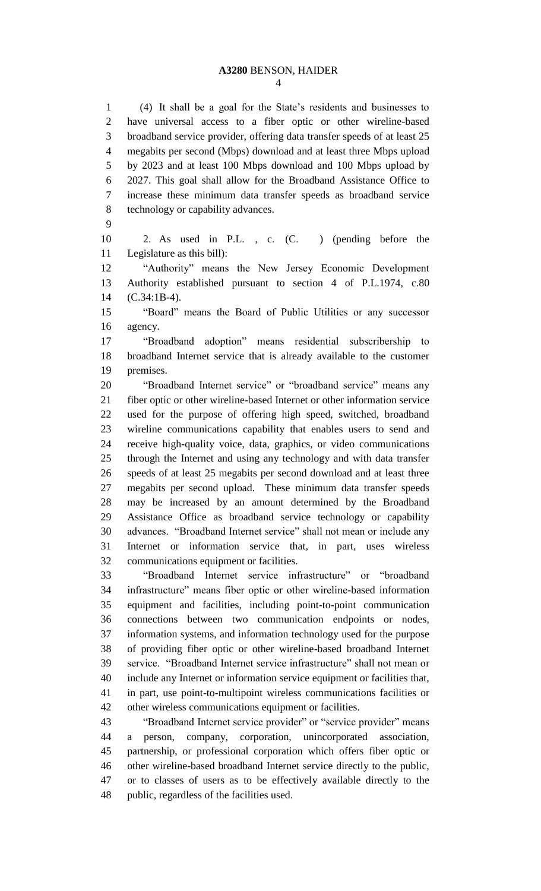#### **A3280** BENSON, HAIDER

 (4) It shall be a goal for the State's residents and businesses to have universal access to a fiber optic or other wireline-based broadband service provider, offering data transfer speeds of at least 25 megabits per second (Mbps) download and at least three Mbps upload by 2023 and at least 100 Mbps download and 100 Mbps upload by 2027. This goal shall allow for the Broadband Assistance Office to increase these minimum data transfer speeds as broadband service technology or capability advances.

 2. As used in P.L. , c. (C. ) (pending before the Legislature as this bill):

 "Authority" means the New Jersey Economic Development Authority established pursuant to section 4 of P.L.1974, c.80 (C.34:1B-4).

 "Board" means the Board of Public Utilities or any successor agency.

 "Broadband adoption" means residential subscribership to broadband Internet service that is already available to the customer premises.

 "Broadband Internet service" or "broadband service" means any fiber optic or other wireline-based Internet or other information service used for the purpose of offering high speed, switched, broadband wireline communications capability that enables users to send and receive high-quality voice, data, graphics, or video communications through the Internet and using any technology and with data transfer speeds of at least 25 megabits per second download and at least three megabits per second upload. These minimum data transfer speeds may be increased by an amount determined by the Broadband Assistance Office as broadband service technology or capability advances. "Broadband Internet service" shall not mean or include any Internet or information service that, in part, uses wireless communications equipment or facilities.

 "Broadband Internet service infrastructure" or "broadband infrastructure" means fiber optic or other wireline-based information equipment and facilities, including point-to-point communication connections between two communication endpoints or nodes, information systems, and information technology used for the purpose of providing fiber optic or other wireline-based broadband Internet service. "Broadband Internet service infrastructure" shall not mean or include any Internet or information service equipment or facilities that, in part, use point-to-multipoint wireless communications facilities or other wireless communications equipment or facilities.

 "Broadband Internet service provider" or "service provider" means a person, company, corporation, unincorporated association, partnership, or professional corporation which offers fiber optic or other wireline-based broadband Internet service directly to the public, or to classes of users as to be effectively available directly to the public, regardless of the facilities used.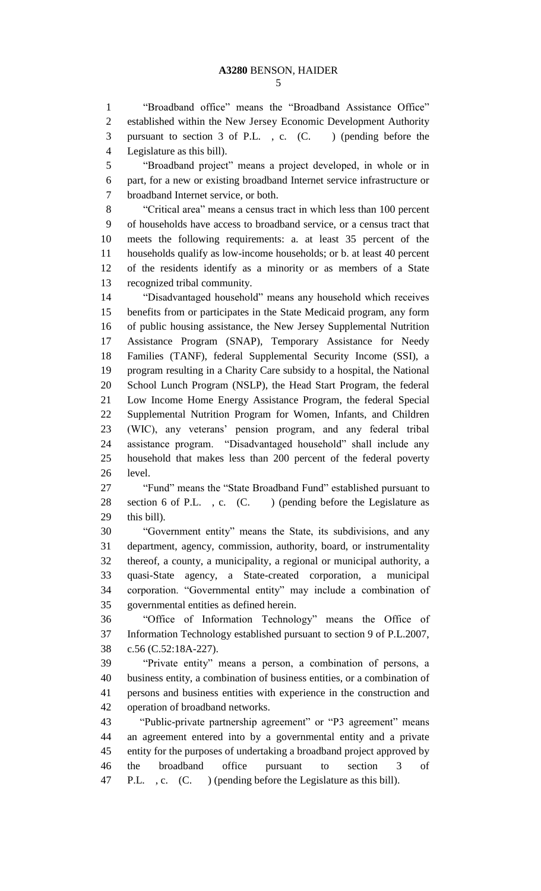"Broadband office" means the "Broadband Assistance Office" established within the New Jersey Economic Development Authority pursuant to section 3 of P.L. , c. (C. ) (pending before the Legislature as this bill).

 "Broadband project" means a project developed, in whole or in part, for a new or existing broadband Internet service infrastructure or broadband Internet service, or both.

 "Critical area" means a census tract in which less than 100 percent of households have access to broadband service, or a census tract that meets the following requirements: a. at least 35 percent of the households qualify as low-income households; or b. at least 40 percent of the residents identify as a minority or as members of a State recognized tribal community.

 "Disadvantaged household" means any household which receives benefits from or participates in the State Medicaid program, any form of public housing assistance, the New Jersey Supplemental Nutrition Assistance Program (SNAP), Temporary Assistance for Needy Families (TANF), federal Supplemental Security Income (SSI), a program resulting in a Charity Care subsidy to a hospital, the National School Lunch Program (NSLP), the Head Start Program, the federal Low Income Home Energy Assistance Program, the federal Special Supplemental Nutrition Program for Women, Infants, and Children (WIC), any veterans' pension program, and any federal tribal assistance program. "Disadvantaged household" shall include any household that makes less than 200 percent of the federal poverty level.

 "Fund" means the "State Broadband Fund" established pursuant to 28 section 6 of P.L., c. (C.) (pending before the Legislature as this bill).

 "Government entity" means the State, its subdivisions, and any department, agency, commission, authority, board, or instrumentality thereof, a county, a municipality, a regional or municipal authority, a quasi-State agency, a State-created corporation, a municipal corporation. "Governmental entity" may include a combination of governmental entities as defined herein.

 "Office of Information Technology" means the Office of Information Technology established pursuant to section 9 of P.L.2007, c.56 (C.52:18A-227).

 "Private entity" means a person, a combination of persons, a business entity, a combination of business entities, or a combination of persons and business entities with experience in the construction and operation of broadband networks.

 "Public-private partnership agreement" or "P3 agreement" means an agreement entered into by a governmental entity and a private entity for the purposes of undertaking a broadband project approved by the broadband office pursuant to section 3 of P.L. , c. (C. ) (pending before the Legislature as this bill).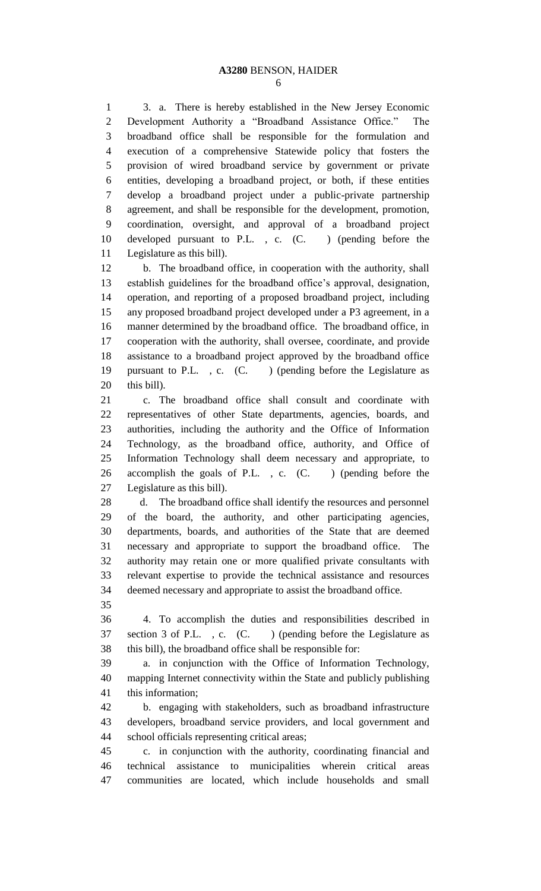3. a. There is hereby established in the New Jersey Economic Development Authority a "Broadband Assistance Office." The broadband office shall be responsible for the formulation and execution of a comprehensive Statewide policy that fosters the provision of wired broadband service by government or private entities, developing a broadband project, or both, if these entities develop a broadband project under a public-private partnership agreement, and shall be responsible for the development, promotion, coordination, oversight, and approval of a broadband project developed pursuant to P.L. , c. (C. ) (pending before the Legislature as this bill).

 b. The broadband office, in cooperation with the authority, shall establish guidelines for the broadband office's approval, designation, operation, and reporting of a proposed broadband project, including any proposed broadband project developed under a P3 agreement, in a manner determined by the broadband office. The broadband office, in cooperation with the authority, shall oversee, coordinate, and provide assistance to a broadband project approved by the broadband office pursuant to P.L. , c. (C. ) (pending before the Legislature as this bill).

 c. The broadband office shall consult and coordinate with representatives of other State departments, agencies, boards, and authorities, including the authority and the Office of Information Technology, as the broadband office, authority, and Office of Information Technology shall deem necessary and appropriate, to accomplish the goals of P.L. , c. (C. ) (pending before the Legislature as this bill).

 d. The broadband office shall identify the resources and personnel of the board, the authority, and other participating agencies, departments, boards, and authorities of the State that are deemed necessary and appropriate to support the broadband office. The authority may retain one or more qualified private consultants with relevant expertise to provide the technical assistance and resources deemed necessary and appropriate to assist the broadband office.

 4. To accomplish the duties and responsibilities described in 37 section 3 of P.L., c. (C.) (pending before the Legislature as this bill), the broadband office shall be responsible for:

 a. in conjunction with the Office of Information Technology, mapping Internet connectivity within the State and publicly publishing this information;

 b. engaging with stakeholders, such as broadband infrastructure developers, broadband service providers, and local government and school officials representing critical areas;

 c. in conjunction with the authority, coordinating financial and technical assistance to municipalities wherein critical areas communities are located, which include households and small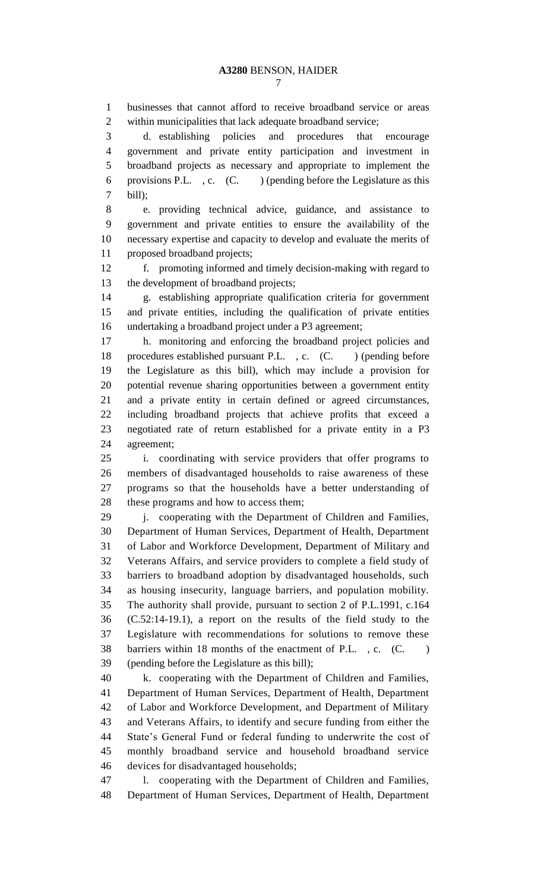businesses that cannot afford to receive broadband service or areas within municipalities that lack adequate broadband service;

 d. establishing policies and procedures that encourage government and private entity participation and investment in broadband projects as necessary and appropriate to implement the 6 provisions P.L., c.  $(C.$  ) (pending before the Legislature as this bill);

 e. providing technical advice, guidance, and assistance to government and private entities to ensure the availability of the necessary expertise and capacity to develop and evaluate the merits of proposed broadband projects;

 f. promoting informed and timely decision-making with regard to the development of broadband projects;

 g. establishing appropriate qualification criteria for government and private entities, including the qualification of private entities undertaking a broadband project under a P3 agreement;

 h. monitoring and enforcing the broadband project policies and 18 procedures established pursuant P.L., c. (C.) (pending before the Legislature as this bill), which may include a provision for potential revenue sharing opportunities between a government entity and a private entity in certain defined or agreed circumstances, including broadband projects that achieve profits that exceed a negotiated rate of return established for a private entity in a P3 agreement;

 i. coordinating with service providers that offer programs to members of disadvantaged households to raise awareness of these programs so that the households have a better understanding of these programs and how to access them;

29 i. cooperating with the Department of Children and Families, Department of Human Services, Department of Health, Department of Labor and Workforce Development, Department of Military and Veterans Affairs, and service providers to complete a field study of barriers to broadband adoption by disadvantaged households, such as housing insecurity, language barriers, and population mobility. The authority shall provide, pursuant to section 2 of P.L.1991, c.164 (C.52:14-19.1), a report on the results of the field study to the Legislature with recommendations for solutions to remove these 38 barriers within 18 months of the enactment of P.L., c. (C.) (pending before the Legislature as this bill);

 k. cooperating with the Department of Children and Families, Department of Human Services, Department of Health, Department of Labor and Workforce Development, and Department of Military and Veterans Affairs, to identify and secure funding from either the State's General Fund or federal funding to underwrite the cost of monthly broadband service and household broadband service devices for disadvantaged households;

 l. cooperating with the Department of Children and Families, Department of Human Services, Department of Health, Department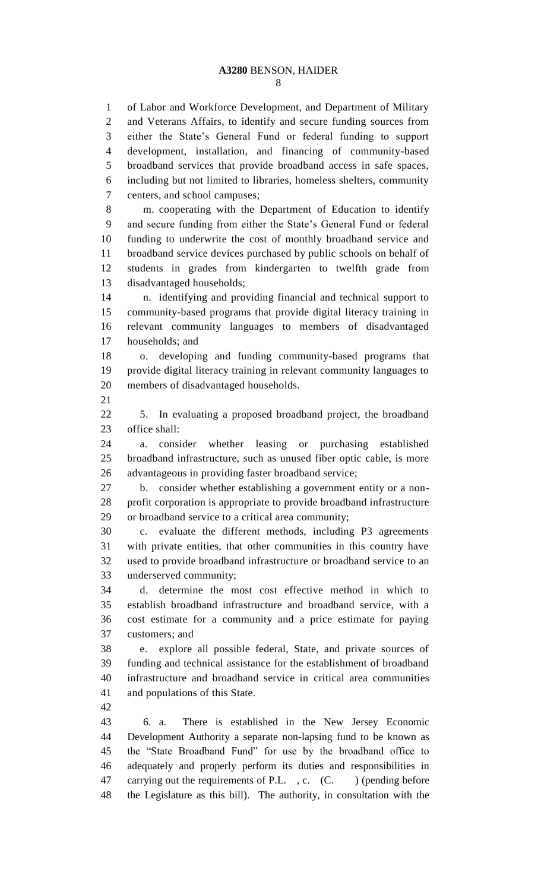of Labor and Workforce Development, and Department of Military and Veterans Affairs, to identify and secure funding sources from either the State's General Fund or federal funding to support development, installation, and financing of community-based broadband services that provide broadband access in safe spaces, including but not limited to libraries, homeless shelters, community centers, and school campuses; m. cooperating with the Department of Education to identify and secure funding from either the State's General Fund or federal funding to underwrite the cost of monthly broadband service and broadband service devices purchased by public schools on behalf of students in grades from kindergarten to twelfth grade from disadvantaged households; n. identifying and providing financial and technical support to community-based programs that provide digital literacy training in relevant community languages to members of disadvantaged households; and o. developing and funding community-based programs that provide digital literacy training in relevant community languages to members of disadvantaged households. 5. In evaluating a proposed broadband project, the broadband office shall: a. consider whether leasing or purchasing established broadband infrastructure, such as unused fiber optic cable, is more advantageous in providing faster broadband service; b. consider whether establishing a government entity or a non- profit corporation is appropriate to provide broadband infrastructure or broadband service to a critical area community; c. evaluate the different methods, including P3 agreements with private entities, that other communities in this country have used to provide broadband infrastructure or broadband service to an underserved community; d. determine the most cost effective method in which to establish broadband infrastructure and broadband service, with a cost estimate for a community and a price estimate for paying customers; and e. explore all possible federal, State, and private sources of funding and technical assistance for the establishment of broadband infrastructure and broadband service in critical area communities and populations of this State. 6. a. There is established in the New Jersey Economic Development Authority a separate non-lapsing fund to be known as the "State Broadband Fund" for use by the broadband office to adequately and properly perform its duties and responsibilities in 47 carrying out the requirements of P.L., c. (C.) (pending before

the Legislature as this bill). The authority, in consultation with the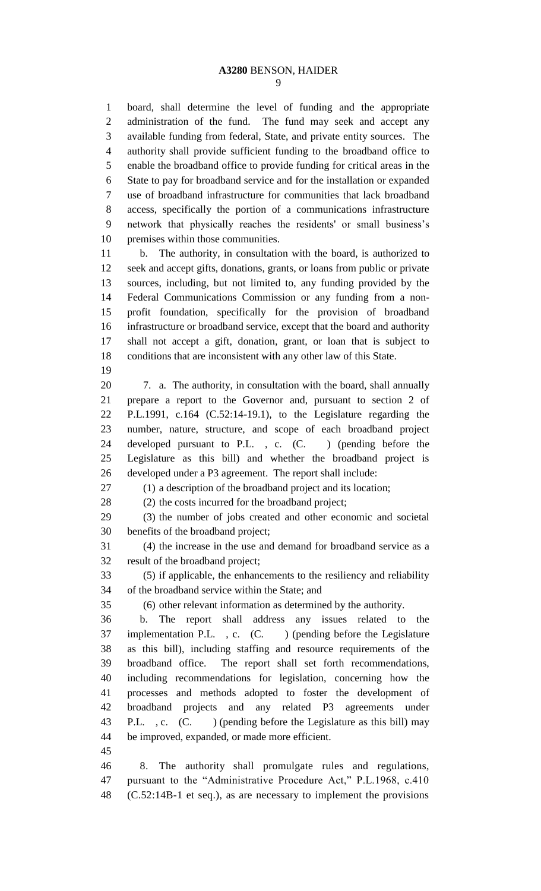board, shall determine the level of funding and the appropriate administration of the fund. The fund may seek and accept any available funding from federal, State, and private entity sources. The authority shall provide sufficient funding to the broadband office to enable the broadband office to provide funding for critical areas in the State to pay for broadband service and for the installation or expanded use of broadband infrastructure for communities that lack broadband access, specifically the portion of a communications infrastructure network that physically reaches the residents' or small business's premises within those communities.

 b. The authority, in consultation with the board, is authorized to seek and accept gifts, donations, grants, or loans from public or private sources, including, but not limited to, any funding provided by the Federal Communications Commission or any funding from a non- profit foundation, specifically for the provision of broadband infrastructure or broadband service, except that the board and authority shall not accept a gift, donation, grant, or loan that is subject to conditions that are inconsistent with any other law of this State.

 7. a. The authority, in consultation with the board, shall annually prepare a report to the Governor and, pursuant to section 2 of P.L.1991, c.164 (C.52:14-19.1), to the Legislature regarding the number, nature, structure, and scope of each broadband project developed pursuant to P.L. , c. (C. ) (pending before the Legislature as this bill) and whether the broadband project is developed under a P3 agreement. The report shall include:

(1) a description of the broadband project and its location;

(2) the costs incurred for the broadband project;

 (3) the number of jobs created and other economic and societal benefits of the broadband project;

 (4) the increase in the use and demand for broadband service as a result of the broadband project;

 (5) if applicable, the enhancements to the resiliency and reliability of the broadband service within the State; and

(6) other relevant information as determined by the authority.

 b. The report shall address any issues related to the 37 implementation P.L., c. (C.) (pending before the Legislature as this bill), including staffing and resource requirements of the broadband office. The report shall set forth recommendations, including recommendations for legislation, concerning how the processes and methods adopted to foster the development of broadband projects and any related P3 agreements under 43 P.L., c. (C. ) (pending before the Legislature as this bill) may be improved, expanded, or made more efficient.

 8. The authority shall promulgate rules and regulations, pursuant to the "Administrative Procedure Act," P.L.1968, c.410 (C.52:14B-1 et seq.), as are necessary to implement the provisions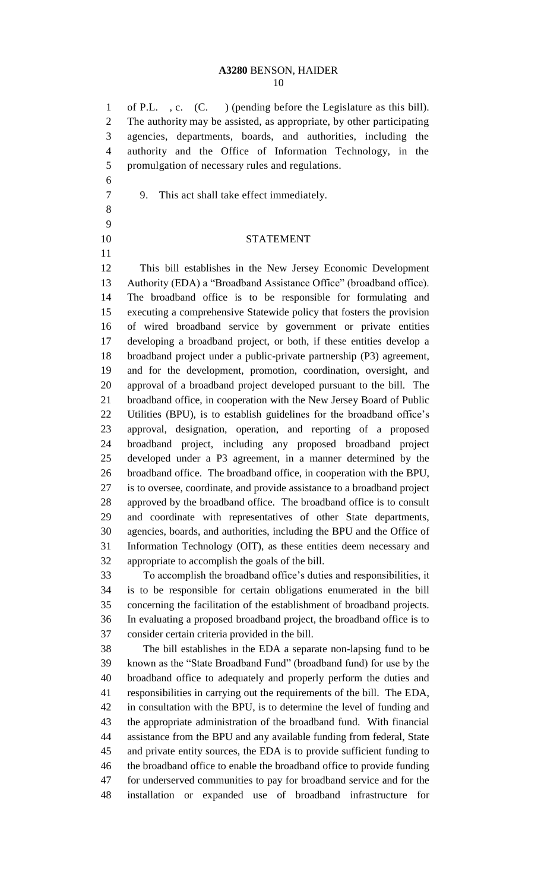### **A3280** BENSON, HAIDER

 of P.L. , c. (C. ) (pending before the Legislature as this bill). The authority may be assisted, as appropriate, by other participating agencies, departments, boards, and authorities, including the authority and the Office of Information Technology, in the promulgation of necessary rules and regulations.

- 9. This act shall take effect immediately.
- 

STATEMENT

 This bill establishes in the New Jersey Economic Development Authority (EDA) a "Broadband Assistance Office" (broadband office). The broadband office is to be responsible for formulating and executing a comprehensive Statewide policy that fosters the provision of wired broadband service by government or private entities developing a broadband project, or both, if these entities develop a broadband project under a public-private partnership (P3) agreement, and for the development, promotion, coordination, oversight, and approval of a broadband project developed pursuant to the bill. The broadband office, in cooperation with the New Jersey Board of Public Utilities (BPU), is to establish guidelines for the broadband office's approval, designation, operation, and reporting of a proposed broadband project, including any proposed broadband project developed under a P3 agreement, in a manner determined by the broadband office. The broadband office, in cooperation with the BPU, is to oversee, coordinate, and provide assistance to a broadband project approved by the broadband office. The broadband office is to consult and coordinate with representatives of other State departments, agencies, boards, and authorities, including the BPU and the Office of Information Technology (OIT), as these entities deem necessary and appropriate to accomplish the goals of the bill.

 To accomplish the broadband office's duties and responsibilities, it is to be responsible for certain obligations enumerated in the bill concerning the facilitation of the establishment of broadband projects. In evaluating a proposed broadband project, the broadband office is to consider certain criteria provided in the bill.

 The bill establishes in the EDA a separate non-lapsing fund to be known as the "State Broadband Fund" (broadband fund) for use by the broadband office to adequately and properly perform the duties and responsibilities in carrying out the requirements of the bill. The EDA, in consultation with the BPU, is to determine the level of funding and the appropriate administration of the broadband fund. With financial assistance from the BPU and any available funding from federal, State and private entity sources, the EDA is to provide sufficient funding to the broadband office to enable the broadband office to provide funding for underserved communities to pay for broadband service and for the installation or expanded use of broadband infrastructure for